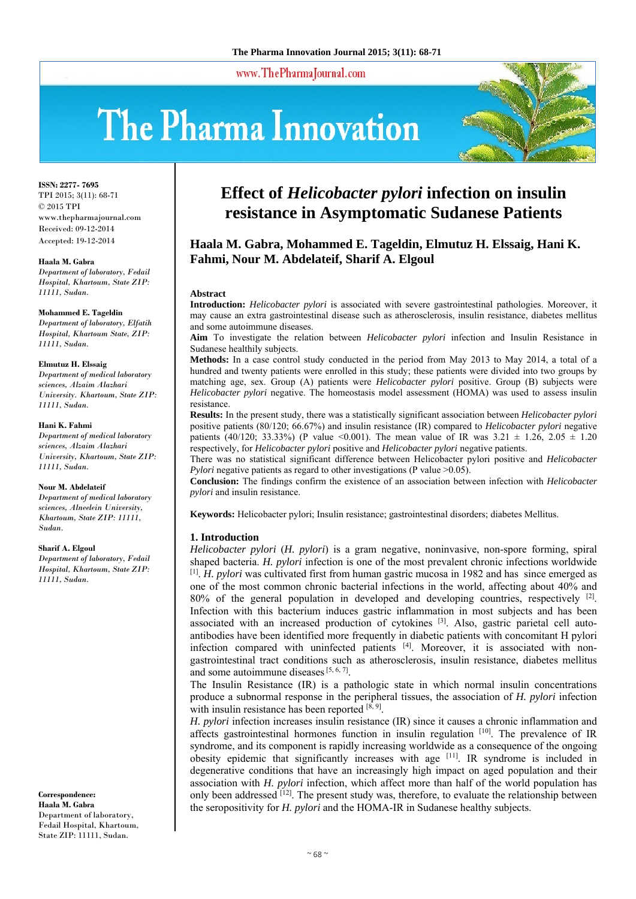www.ThePharmaJournal.com

# The Pharma Innovation



**ISSN: 2277- 7695** TPI 2015; 3(11): 68-71 © 2015 TPI www.thepharmajournal.com Received: 09-12-2014 Accepted: 19-12-2014

#### **Haala M. Gabra**

*Department of laboratory, Fedail Hospital, Khartoum, State ZIP: 11111, Sudan.* 

#### **Mohammed E. Tageldin**

*Department of laboratory, Elfatih Hospital, Khartoum State, ZIP: 11111, Sudan.* 

#### **Elmutuz H. Elssaig**

*Department of medical laboratory sciences, Alzaim Alazhari University. Khartoum, State ZIP: 11111, Sudan.* 

#### **Hani K. Fahmi**

*Department of medical laboratory sciences, Alzaim Alazhari University, Khartoum, State ZIP: 11111, Sudan.* 

#### **Nour M. Abdelateif**

*Department of medical laboratory sciences, Alneelein University, Khartoum, State ZIP: 11111, Sudan.* 

#### **Sharif A. Elgoul**

*Department of laboratory, Fedail Hospital, Khartoum, State ZIP: 11111, Sudan.* 

**Correspondence: Haala M. Gabra**  Department of laboratory, Fedail Hospital, Khartoum, State ZIP: 11111, Sudan.

# **Effect of** *Helicobacter pylori* **infection on insulin resistance in Asymptomatic Sudanese Patients**

# **Haala M. Gabra, Mohammed E. Tageldin, Elmutuz H. Elssaig, Hani K. Fahmi, Nour M. Abdelateif, Sharif A. Elgoul**

#### **Abstract**

**Introduction:** *Helicobacter pylori* is associated with severe gastrointestinal pathologies. Moreover, it may cause an extra gastrointestinal disease such as atherosclerosis, insulin resistance, diabetes mellitus and some autoimmune diseases.

**Aim** To investigate the relation between *Helicobacter pylori* infection and Insulin Resistance in Sudanese healthily subjects.

**Methods:** In a case control study conducted in the period from May 2013 to May 2014, a total of a hundred and twenty patients were enrolled in this study; these patients were divided into two groups by matching age, sex. Group (A) patients were *Helicobacter pylori* positive. Group (B) subjects were *Helicobacter pylori* negative. The homeostasis model assessment (HOMA) was used to assess insulin resistance.

**Results:** In the present study, there was a statistically significant association between *Helicobacter pylori* positive patients (80/120; 66.67%) and insulin resistance (IR) compared to *Helicobacter pylori* negative patients (40/120; 33.33%) (P value <0.001). The mean value of IR was  $3.21 \pm 1.26$ ,  $2.05 \pm 1.20$ respectively, for *Helicobacter pylori* positive and *Helicobacter pylori* negative patients.

There was no statistical significant difference between Helicobacter pylori positive and *Helicobacter Pylori* negative patients as regard to other investigations (P value >0.05).

**Conclusion:** The findings confirm the existence of an association between infection with *Helicobacter pylori* and insulin resistance.

**Keywords:** Helicobacter pylori; Insulin resistance; gastrointestinal disorders; diabetes Mellitus.

#### **1. Introduction**

*Helicobacter pylori* (*H. pylori*) is a gram negative, noninvasive, non-spore forming, spiral shaped bacteria. *H. pylori* infection is one of the most prevalent chronic infections worldwide [1]. *H. pylori* was cultivated first from human gastric mucosa in 1982 and has since emerged as one of the most common chronic bacterial infections in the world, affecting about 40% and 80% of the general population in developed and developing countries, respectively  $^{[2]}$ . Infection with this bacterium induces gastric inflammation in most subjects and has been associated with an increased production of cytokines [3]. Also, gastric parietal cell autoantibodies have been identified more frequently in diabetic patients with concomitant H pylori infection compared with uninfected patients [4]. Moreover, it is associated with nongastrointestinal tract conditions such as atherosclerosis, insulin resistance, diabetes mellitus and some autoimmune diseases  $[5, 6, 7]$ .

The Insulin Resistance (IR) is a pathologic state in which normal insulin concentrations produce a subnormal response in the peripheral tissues, the association of *H. pylori* infection with insulin resistance has been reported  $[8, 9]$ .

*H. pylori* infection increases insulin resistance (IR) since it causes a chronic inflammation and affects gastrointestinal hormones function in insulin regulation [10]. The prevalence of IR syndrome, and its component is rapidly increasing worldwide as a consequence of the ongoing obesity epidemic that significantly increases with age [11]. IR syndrome is included in degenerative conditions that have an increasingly high impact on aged population and their association with *H. pylori* infection, which affect more than half of the world population has only been addressed <sup>[12]</sup>. The present study was, therefore, to evaluate the relationship between the seropositivity for *H. pylori* and the HOMA-IR in Sudanese healthy subjects.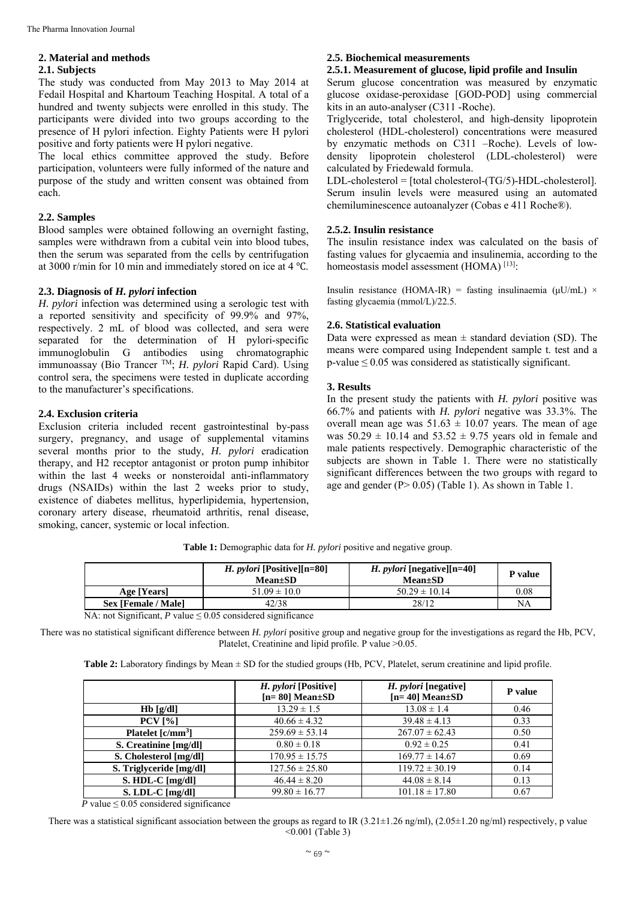# **2. Material and methods**

#### **2.1. Subjects**

The study was conducted from May 2013 to May 2014 at Fedail Hospital and Khartoum Teaching Hospital. A total of a hundred and twenty subjects were enrolled in this study. The participants were divided into two groups according to the presence of H pylori infection. Eighty Patients were H pylori positive and forty patients were H pylori negative.

The local ethics committee approved the study. Before participation, volunteers were fully informed of the nature and purpose of the study and written consent was obtained from each.

#### **2.2. Samples**

Blood samples were obtained following an overnight fasting, samples were withdrawn from a cubital vein into blood tubes, then the serum was separated from the cells by centrifugation at 3000 r/min for 10 min and immediately stored on ice at  $4^{\circ}$ C.

# **2.3. Diagnosis of** *H. pylori* **infection**

*H. pylori* infection was determined using a serologic test with a reported sensitivity and specificity of 99.9% and 97%, respectively. 2 mL of blood was collected, and sera were separated for the determination of H pylori-specific immunoglobulin G antibodies using chromatographic immunoassay (Bio Trancer TM; *H. pylori* Rapid Card). Using control sera, the specimens were tested in duplicate according to the manufacturer's specifications.

#### **2.4. Exclusion criteria**

Exclusion criteria included recent gastrointestinal by-pass surgery, pregnancy, and usage of supplemental vitamins several months prior to the study, *H. pylori* eradication therapy, and H2 receptor antagonist or proton pump inhibitor within the last 4 weeks or nonsteroidal anti-inflammatory drugs (NSAIDs) within the last 2 weeks prior to study, existence of diabetes mellitus, hyperlipidemia, hypertension, coronary artery disease, rheumatoid arthritis, renal disease, smoking, cancer, systemic or local infection.

# **2.5. Biochemical measurements**

#### **2.5.1. Measurement of glucose, lipid profile and Insulin**

Serum glucose concentration was measured by enzymatic glucose oxidase-peroxidase [GOD-POD] using commercial kits in an auto-analyser (C311 -Roche).

Triglyceride, total cholesterol, and high-density lipoprotein cholesterol (HDL-cholesterol) concentrations were measured by enzymatic methods on C311 –Roche). Levels of lowdensity lipoprotein cholesterol (LDL-cholesterol) were calculated by Friedewald formula.

LDL-cholesterol = [total cholesterol-(TG/5)-HDL-cholesterol]. Serum insulin levels were measured using an automated chemiluminescence autoanalyzer (Cobas e 411 Roche®).

#### **2.5.2. Insulin resistance**

The insulin resistance index was calculated on the basis of fasting values for glycaemia and insulinemia, according to the homeostasis model assessment (HOMA) [13].

Insulin resistance (HOMA-IR) = fasting insulinaemia ( $\mu$ U/mL) × fasting glycaemia (mmol/L)/22.5.

#### **2.6. Statistical evaluation**

Data were expressed as mean  $\pm$  standard deviation (SD). The means were compared using Independent sample t. test and a  $p$ -value  $\leq 0.05$  was considered as statistically significant.

#### **3. Results**

In the present study the patients with *H. pylori* positive was 66.7% and patients with *H. pylori* negative was 33.3%. The overall mean age was  $51.63 \pm 10.07$  years. The mean of age was  $50.29 \pm 10.14$  and  $53.52 \pm 9.75$  years old in female and male patients respectively. Demographic characteristic of the subjects are shown in Table 1. There were no statistically significant differences between the two groups with regard to age and gender (P> 0.05) (Table 1). As shown in Table 1.

|                     | <i>H. pylori</i> [Positive][n=80]<br>$Mean \pm SD$ | <i>H. pylori</i> [negative][n=40]<br>$Mean \pm SD$ | <b>P</b> value |
|---------------------|----------------------------------------------------|----------------------------------------------------|----------------|
| Age [Years]         | $51.09 \pm 10.0$                                   | $50.29 \pm 10.14$                                  | 0.08           |
| Sex [Female / Male] | 42/38                                              | 28/12                                              | NA             |
| <b>.</b>            | $\cdot$ $\sim$<br>$\sim$ $\sim$ $\sim$ $\sim$      |                                                    |                |

**Table 1:** Demographic data for *H. pylori* positive and negative group.

NA: not Significant,  $P$  value  $\leq 0.05$  considered significance

There was no statistical significant difference between *H. pylori* positive group and negative group for the investigations as regard the Hb, PCV, Platelet, Creatinine and lipid profile. P value  $>0.05$ .

Table 2: Laboratory findings by Mean  $\pm$  SD for the studied groups (Hb, PCV, Platelet, serum creatinine and lipid profile.

|                         | H. <i>pylori</i> [Positive]<br>$[n=80]$ Mean $\pm$ SD | <i>H. pylori</i> [negative]<br>$[n=40]$ Mean $\pm$ SD | P value |
|-------------------------|-------------------------------------------------------|-------------------------------------------------------|---------|
| $Hb$ [g/dl]             | $13.29 \pm 1.5$                                       | $13.08 \pm 1.4$                                       | 0.46    |
| $PCV$ [%]               | $40.66 \pm 4.32$                                      | $39.48 \pm 4.13$                                      | 0.33    |
| Platelet $[c/mm^3]$     | $259.69 \pm 53.14$                                    | $267.07 \pm 62.43$                                    | 0.50    |
| S. Creatinine [mg/dl]   | $0.80 \pm 0.18$                                       | $0.92 \pm 0.25$                                       | 0.41    |
| S. Cholesterol [mg/dl]  | $170.95 \pm 15.75$                                    | $169.77 \pm 14.67$                                    | 0.69    |
| S. Triglyceride [mg/dl] | $127.56 \pm 25.80$                                    | $119.72 \pm 30.19$                                    | 0.14    |
| $S. HDL-C [mg/dl]$      | $46.44 \pm 8.20$                                      | $44.08 \pm 8.14$                                      | 0.13    |
| $S.$ LDL-C $[mg/d]$     | $99.80 \pm 16.77$                                     | $101.18 \pm 17.80$                                    | 0.67    |

*P* value  $\leq 0.05$  considered significance

There was a statistical significant association between the groups as regard to IR  $(3.21 \pm 1.26 \text{ ng/ml})$ ,  $(2.05 \pm 1.20 \text{ ng/ml})$  respectively, p value <0.001 (Table 3)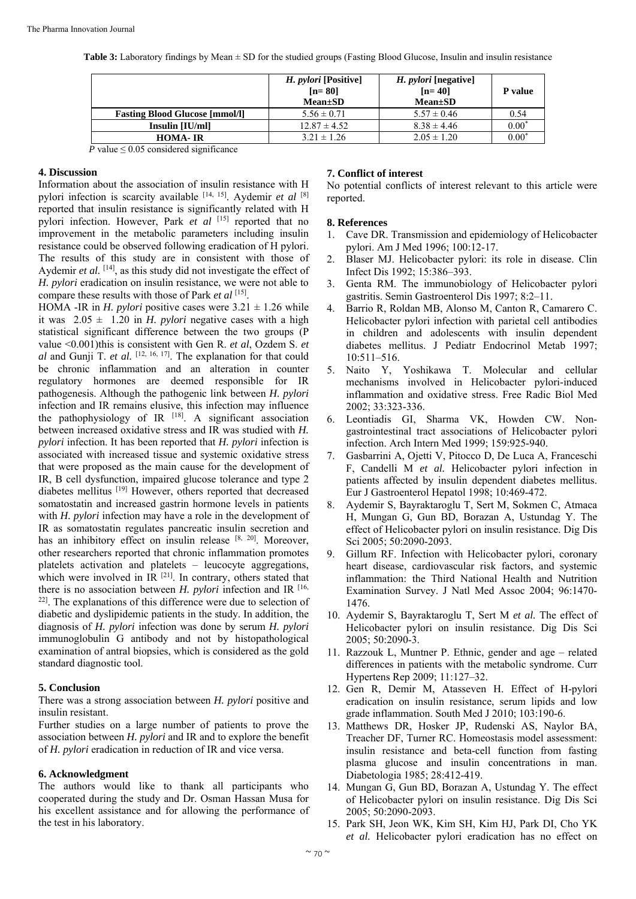**Table 3:** Laboratory findings by Mean  $\pm$  SD for the studied groups (Fasting Blood Glucose, Insulin and insulin resistance

|                                       | <i>H. pylori</i> [Positive]<br>$[n=80]$<br>$Mean \pm SD$ | <i>H. pylori</i> [negative]<br>$[n=40]$<br>$Mean \pm SD$ | P value |
|---------------------------------------|----------------------------------------------------------|----------------------------------------------------------|---------|
| <b>Fasting Blood Glucose [mmol/l]</b> | $5.56 \pm 0.71$                                          | $5.57 \pm 0.46$                                          | 0.54    |
| Insulin [IU/ml]                       | $12.87 \pm 4.52$                                         | $8.38 \pm 4.46$                                          | $0.00*$ |
| <b>HOMA-IR</b>                        | $3.21 \pm 1.26$                                          | $2.05 \pm 1.20$                                          | $0.00*$ |

*P* value  $\leq 0.05$  considered significance

#### **4. Discussion**

Information about the association of insulin resistance with H pylori infection is scarcity available [14, 15]. Aydemir *et al* [8] reported that insulin resistance is significantly related with H pylori infection. However, Park *et al* [15] reported that no improvement in the metabolic parameters including insulin resistance could be observed following eradication of H pylori. The results of this study are in consistent with those of Aydemir *et al.* [14], as this study did not investigate the effect of *H. pylori* eradication on insulin resistance, we were not able to compare these results with those of Park *et al* [15].

HOMA -IR in *H. pylori* positive cases were  $3.21 \pm 1.26$  while it was  $2.05 \pm 1.20$  in *H. pylori* negative cases with a high statistical significant difference between the two groups (P value <0.001)this is consistent with Gen R. *et al*, Ozdem S. *et al* and Gunji T. *et al.* [12, 16, 17]. The explanation for that could be chronic inflammation and an alteration in counter regulatory hormones are deemed responsible for IR pathogenesis. Although the pathogenic link between *H. pylori* infection and IR remains elusive, this infection may influence the pathophysiology of IR  $[18]$ . A significant association between increased oxidative stress and IR was studied with *H. pylori* infection. It has been reported that *H. pylori* infection is associated with increased tissue and systemic oxidative stress that were proposed as the main cause for the development of IR, B cell dysfunction, impaired glucose tolerance and type 2 diabetes mellitus [19] However, others reported that decreased somatostatin and increased gastrin hormone levels in patients with *H. pylori* infection may have a role in the development of IR as somatostatin regulates pancreatic insulin secretion and has an inhibitory effect on insulin release [8, 20]. Moreover, other researchers reported that chronic inflammation promotes platelets activation and platelets – leucocyte aggregations, which were involved in IR <sup>[21]</sup>. In contrary, others stated that there is no association between *H. pylori* infection and IR <sup>[16,</sup>] 22]. The explanations of this difference were due to selection of diabetic and dyslipidemic patients in the study. In addition, the diagnosis of *H. pylori* infection was done by serum *H. pylori* immunoglobulin G antibody and not by histopathological examination of antral biopsies, which is considered as the gold standard diagnostic tool.

# **5. Conclusion**

There was a strong association between *H. pylori* positive and insulin resistant.

Further studies on a large number of patients to prove the association between *H. pylori* and IR and to explore the benefit of *H. pylori* eradication in reduction of IR and vice versa.

# **6. Acknowledgment**

The authors would like to thank all participants who cooperated during the study and Dr. Osman Hassan Musa for his excellent assistance and for allowing the performance of the test in his laboratory.

#### **7. Conflict of interest**

No potential conflicts of interest relevant to this article were reported.

# **8. References**

- 1. Cave DR. Transmission and epidemiology of Helicobacter pylori. Am J Med 1996; 100:12-17.
- 2. Blaser MJ. Helicobacter pylori: its role in disease. Clin Infect Dis 1992; 15:386–393.
- 3. Genta RM. The immunobiology of Helicobacter pylori gastritis. Semin Gastroenterol Dis 1997; 8:2–11.
- 4. Barrio R, Roldan MB, Alonso M, Canton R, Camarero C. Helicobacter pylori infection with parietal cell antibodies in children and adolescents with insulin dependent diabetes mellitus. J Pediatr Endocrinol Metab 1997; 10:511–516.
- 5. Naito Y, Yoshikawa T. Molecular and cellular mechanisms involved in Helicobacter pylori-induced inflammation and oxidative stress. Free Radic Biol Med 2002; 33:323-336.
- 6. Leontiadis GI, Sharma VK, Howden CW. Nongastrointestinal tract associations of Helicobacter pylori infection. Arch Intern Med 1999; 159:925-940.
- 7. Gasbarrini A, Ojetti V, Pitocco D, De Luca A, Franceschi F, Candelli M *et al.* Helicobacter pylori infection in patients affected by insulin dependent diabetes mellitus. Eur J Gastroenterol Hepatol 1998; 10:469-472.
- 8. Aydemir S, Bayraktaroglu T, Sert M, Sokmen C, Atmaca H, Mungan G, Gun BD, Borazan A, Ustundag Y. The effect of Helicobacter pylori on insulin resistance. Dig Dis Sci 2005; 50:2090-2093.
- 9. Gillum RF. Infection with Helicobacter pylori, coronary heart disease, cardiovascular risk factors, and systemic inflammation: the Third National Health and Nutrition Examination Survey. J Natl Med Assoc 2004; 96:1470- 1476.
- 10. Aydemir S, Bayraktaroglu T, Sert M *et al.* The effect of Helicobacter pylori on insulin resistance. Dig Dis Sci 2005; 50:2090-3.
- 11. Razzouk L, Muntner P. Ethnic, gender and age related differences in patients with the metabolic syndrome. Curr Hypertens Rep 2009; 11:127–32.
- 12. Gen R, Demir M, Atasseven H. Effect of H-pylori eradication on insulin resistance, serum lipids and low grade inflammation. South Med J 2010; 103:190-6.
- 13. Matthews DR, Hosker JP, Rudenski AS, Naylor BA, Treacher DF, Turner RC. Homeostasis model assessment: insulin resistance and beta-cell function from fasting plasma glucose and insulin concentrations in man. Diabetologia 1985; 28:412-419.
- 14. Mungan G, Gun BD, Borazan A, Ustundag Y. The effect of Helicobacter pylori on insulin resistance. Dig Dis Sci 2005; 50:2090-2093.
- 15. Park SH, Jeon WK, Kim SH, Kim HJ, Park DI, Cho YK *et al.* Helicobacter pylori eradication has no effect on